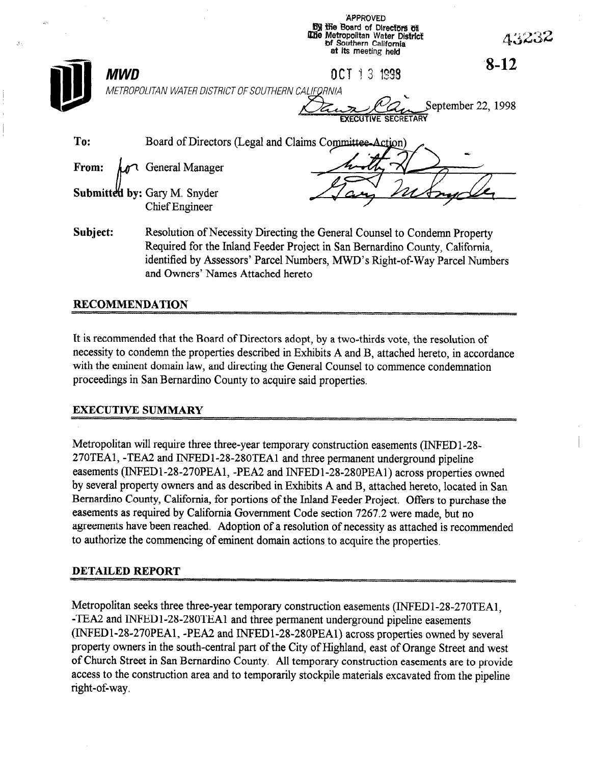|          |            |                                                              | By the Board of Directors of<br>The Metropolitan Water District<br>of Southern California<br>at its meeting held                                                                                                                        | 43232              |
|----------|------------|--------------------------------------------------------------|-----------------------------------------------------------------------------------------------------------------------------------------------------------------------------------------------------------------------------------------|--------------------|
|          | <b>MWD</b> |                                                              | DCT 1 3 1998                                                                                                                                                                                                                            | $8-12$             |
|          |            | METROPOLITAN WATER DISTRICT OF SOUTHERN CALIFORNIA           | EXECUTIVE SECRETARY                                                                                                                                                                                                                     | September 22, 1998 |
| To:      |            |                                                              | Board of Directors (Legal and Claims Committee-Action)                                                                                                                                                                                  |                    |
| From:    |            | General Manager                                              |                                                                                                                                                                                                                                         |                    |
|          |            | <b>Submitted by: Gary M. Snyder</b><br><b>Chief Engineer</b> |                                                                                                                                                                                                                                         |                    |
| Subject: |            |                                                              | Resolution of Necessity Directing the General Counsel to Condemn Property<br>Required for the Inland Feeder Project in San Bernardino County, California,<br>identified by Assessors' Parcel Numbers, MWD's Right-of-Way Parcel Numbers |                    |

**APPROVED** 

### RECOMMENDATION

 $\mathcal{J}_0$ 

It is recommended that the Board of Directors adopt, by a two-thirds vote, the resolution of necessity to condemn the properties described in Exhibits A and B, attached hereto, in accordance with the eminent domain law, and directing the General Counsel to commence condemnation proceedings in San Bernardino County to acquire said properties.

and Owners' Names Attached hereto

### EXECUTIVE SUMMARY

Metropolitan will require three three-year temporary construction easements (INFED 1-28- 270TEA1, -TEA2 and INFEDl-28-280TEAl and three permanent underground pipeline easements (INFED1-28-270PEA1, -PEA2 and INFED1-28-280PEA1) across properties owned by several property owners and as described in Exhibits A and B, attached hereto, located in San Bernardino County, California, for portions of the Inland Feeder Project. Offers to purchase the easements as required by California Government Code section 7267.2 were made, but no agreements have been reached. Adoption of a resolution of necessity as attached is recommended to authorize the commencing of eminent domain actions to acquire the properties.

### DETAILED REPORT

Metropolitan seeks three three-year temporary construction easements (INFEDl-28-270TEA1, -TEA2 and INFED1-28-280TEA1 and three permanent underground pipeline easements (INFEDl-28-270PEA1, -PEA2 and lNFEDl-28-28OPEAl) across properties owned by several property owners in the south-central part of the City of Highland, east of Orange Street and west of Church Street in San Bernardino County. All temporary construction easements are to provide access to the construction area and to temporarily stockpile materials excavated from the pipeline right-of-way.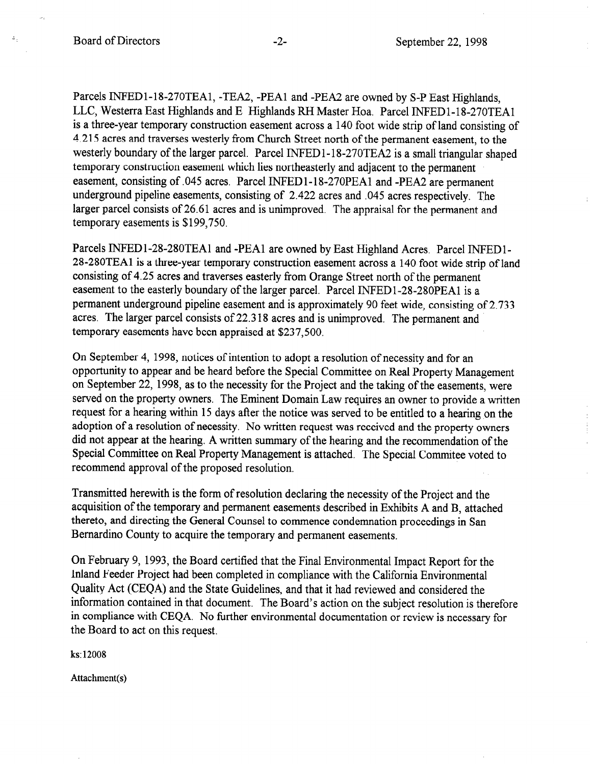$\mathbb{E}_{\xi^{\pm}}$ 

Parcels INFEDl-18-270TEA1, -TEA2, -PEA1 and -PEA2 are owned by S-P East Highlands, LLC, Westerra East Highlands and E Highlands RH Master Hoa. Parcel INFED 1- 18-270TEAl is a three-year temporary construction easement across a 140 foot wide strip of land consisting of 4.215 acres and traverses westerly from Church Street north of the permanent easement, to the westerly boundary of the larger parcel. Parcel INFEDl-18-270TEA2 is a small triangular shaped temporary construction easement which lies northeasterly and adjacent to the permanent easement, consisting of .045 acres. Parcel INFEDl-18-270PEAl and -PEA2 are permanent underground pipeline easements, consisting of 2.422 acres and .045 acres respectively. The larger parcel consists of 26.61 acres and is unimproved. The appraisal for the permanent and temporary easements is \$199,750.

Parcels INFEDl-28-280TEAl and -PEA1 are owned by East Highland Acres. Parcel INFEDl-28-280TEAl is a three-year temporary construction easement across a 140 foot wide strip of land consisting of 4.25 acres and traverses easterly from Orange Street north of the permanent easement to the easterly boundary of the larger parcel. Parcel INFEDl-28-280PEAl is a permanent underground pipeline easement and is approximately 90 feet wide, consisting of 2,733 acres. The larger parcel consists of 22.3 18 acres and is unimproved. The permanent and temporary easements have been appraised at \$237,500.

On September 4, 1998, notices of intention to adopt a resolution of necessity and for an opportunity to appear and be heard before the Special Committee on Real Property Management on September 22, 1998, as to the necessity for the Project and the taking of the easements, were served on the property owners. The Eminent Domain Law requires an owner to provide a written request for a hearing within 15 days after the notice was served to be entitled to a hearing on the adoption of a resolution of necessity. No written request was received and the property owners did not appear at the hearing. A written summary of the hearing and the recommendation of the Special Committee on Real Property Management is attached. The Special Commitee voted to recommend approval of the proposed resolution.

Transmitted herewith is the form of resolution declaring the necessity of the Project and the acquisition of the temporary and permanent easements described in Exhibits A and B, attached thereto, and directing the General Counsel to commence condemnation proceedings in San Bernardino County to acquire the temporary and permanent easements.

On February 9, 1993, the Board certified that the Final Environmental Impact Report for the Inland Feeder Project had been completed in compliance with the California Environmental Quality Act (CEQA) and the State Guidelines, and that it had reviewed and considered the information contained in that document. The Board's action on the subject resolution is therefore in compliance with CEQA. No further environmental documentation or review is necessary for the Board to act on this request.

ks: 12008

Attachment(s)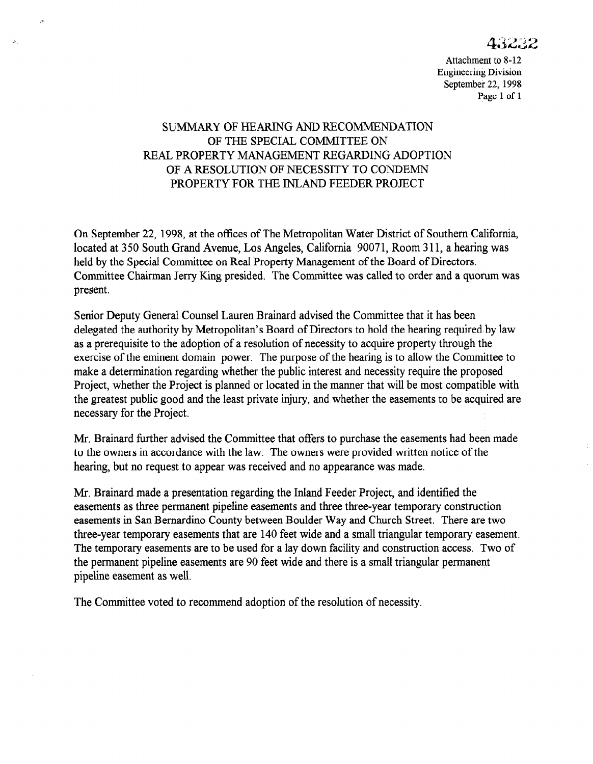# SUMMARY OF HEARING AND RECOMMENDATION OF THE SPECIAL COMMITTEE ON REAL PROPERTY MANAGEMENT REGARDING ADOPTION OF A RESOLUTION OF NECESSITY TO CONDEMN PROPERTY FOR THE INLAND FEEDER PROJECT

 $\sigma$ 

 $\Lambda^-$ 

On September 22, 1998, at the offices of The Metropolitan Water District of Southern California, located at 350 South Grand Avenue, Los Angeles, California 90071, Room 311, a hearing was held by the Special Committee on Real Property Management of the Board of Directors. Committee Chairman Jerry Ring presided. The Committee was called to order and a quorum was present.

Senior Deputy General Counsel Lauren Brainard advised the Committee that it has been delegated the authority by Metropolitan's Board of Directors to hold the hearing required by law as a prerequisite to the adoption of a resolution of necessity to acquire property through the exercise of the eminent domain power. The purpose of the hearing is to allow the Committee to make a determination regarding whether the public interest and necessity require the proposed Project, whether the Project is planned or located in the manner that will be most compatible with the greatest public good and the least private injury, and whether the easements to be acquired are necessary for the Project.

 $\frac{1}{2}$ to the owners in accordance with the communities with the law. The case in the case in the communities were provided with the communities of the context of the context of the context of the context of the context of the co to the owners in accordance with the law. The owners were provided written notice of the hearing, but no request to appear was received and no appearance was made.

Mr. Brainard made a presentation regarding the Inland Feeder Project, and identified the  $\mu$ r. Brainard made a presentation regarding the iniand reeder Project, and identified the easements as three permanent pipeline easements and three three-year temporary construction easements in San Bernardino County between Boulder Way and Church Street. There are two three-year temporary easements that are 140 feet wide and a small triangular temporary easement. The temporary easements are to be used for a lay down facility and construction access. Two of the permanent pipeline easements are 90 feet wide and there is a small triangular permanent pipeline easement as well.

The Committee voted to recommend adoption of the resolution of necessity.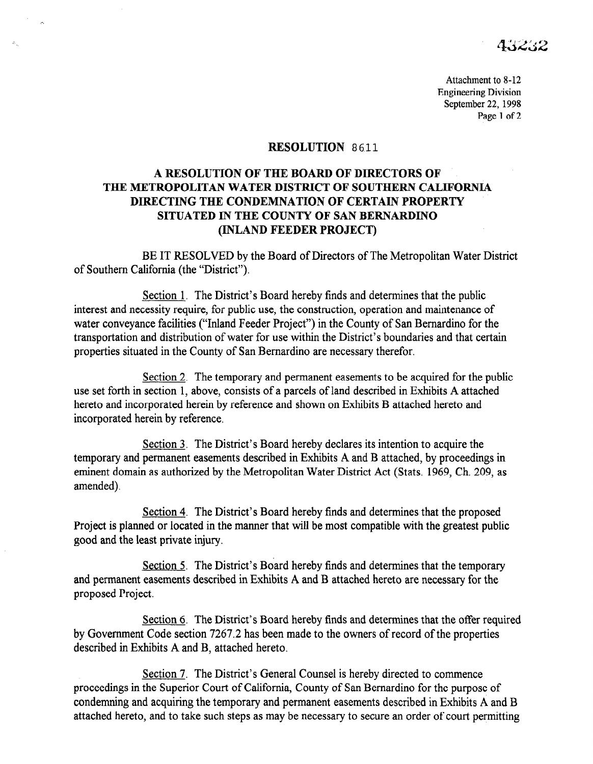### RESOLUTION 8611

# A RESOLUTION OF THE BOARD OF DIRECTORS OF THE METROPOLITAN WATER DISTRICT OF SOUTHERN CALIFORNIA DIRECTING THE CONDEMNATION OF CERTAIN PROPERTY SITUATED IN THE COUNTY OF SAN BERNARDINO (INLAND FEEDER PROJECT)

BE IT RESOLVED by the Board of Directors of The Metropolitan Water District of Southern California (the "District").

Section 1. The District's Board hereby finds and determines that the public interest and necessity require, for public use, the construction, operation and maintenance of water conveyance facilities ("Inland Feeder Project") in the County of San Bernardino for the transportation and distribution of water for use within the District's boundaries and that certain properties situated in the County of San Bernardino are necessary therefor.

Section 2. The temporary and permanent easements to be acquired for the public use set forth in section 1, above, consists of a parcels of land described in Exhibits A attached here  $\frac{1}{n}$  and  $\frac{1}{n}$  and  $\frac{1}{n}$  and  $\frac{1}{n}$  and shown on Exhibit  $\frac{1}{n}$  attached here to and  $\frac{1}{n}$ increto and morporated herein by

Section 3. The District's Board hereby declares its intention to acquire the  $\frac{\text{Section 3}}{\text{Section 3}}$ . The District s Doard hereby declares its intention to acquire the temporary and permanent easements described in Exhibits A and B attached, by proceedings in eminent domain as authorized by the Metropolitan Water District Act (Stats. 1969, Ch. 209, as amended).

Section 4. The District's Board hereby finds and determines that the proposed  $Section 4$ . The District s Board hereby finds and determines that the proposed</u> Project is planned or located in the manner that will be most compatible with the greatest public good and the least private injury.

Section 5. The District's Board hereby finds and determines that the temporary

Section 5. The District's Board hereby finds and determines that the temporary and permanent easements described in Exhibits A and B attached hereto are necessary for the proposed Project.

Section 6. The District's Board hereby finds and determines that the offer required by Government Code section 7267.2 has been made to the owners of record of the properties described in Exhibits A and B, attached hereto.

Section 7. The District's General Counsel is hereby directed to commence proceedings in the Superior Court of California, County of San Bernardino for the purpose of condemning and acquiring the temporary and permanent easements described in Exhibits A and B attached hereto, and to take such steps as may be necessary to secure an order of court permitting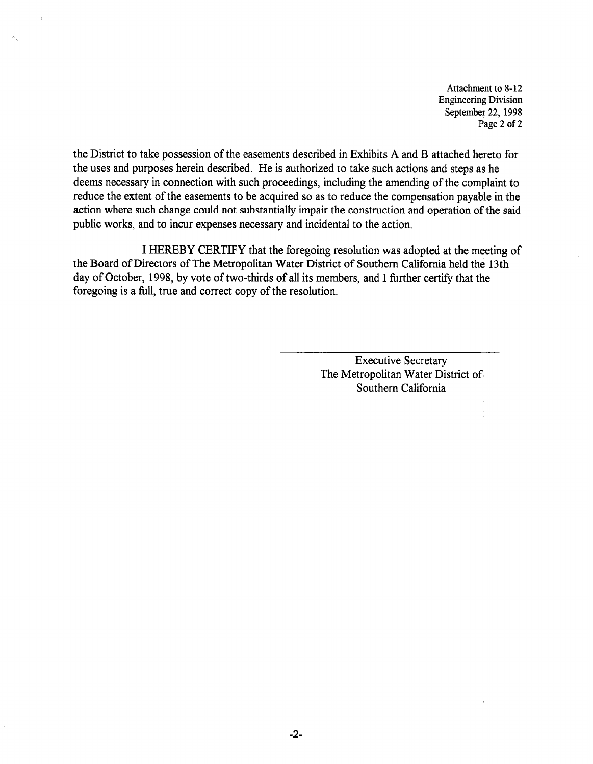the District to take possession of the easements described in Exhibits A and B attached hereto for the uses and purposes herein described. He is authorized to take such actions and steps as he deems necessary in connection with such proceedings, including the amending of the complaint to reduce the extent of the easements to be acquired so as to reduce the compensation payable in the action where such change could not substantially impair the construction and operation of the said public works, and to incur expenses necessary and incidental to the action.

I HEREBY CERTIFY that the foregoing resolution was adopted at the meeting of the Board of Directors of The Metropolitan Water District of Southern California held the 13th day of October, 1998, by vote of two-thirds of all its members, and I further certify that the foregoing is a full, true and correct copy of the resolution.

> Executive Secretary The Metropolitan Water District of Southern California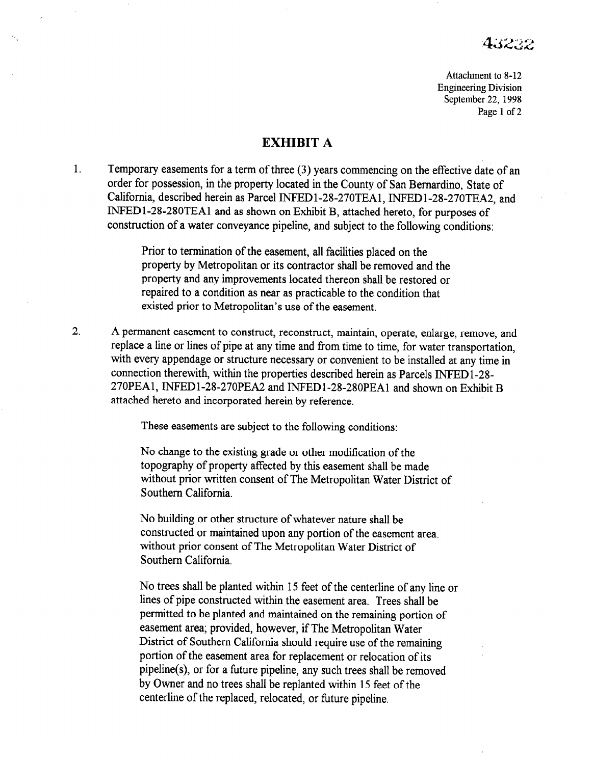# EXHIBIT A

1. Temporary easements for a term of three (3) years commencing on the effective date of an order for possession, in the property located in the County of San Bernardino, State of California, described herein as Parcel INFED1-28-270TEA1, INFED1-28-270TEA2, and INFEDl-2%280TEAl and as shown on Exhibit B, attached hereto, for purposes of construction of a water conveyance pipeline, and subject to the following conditions:

> Prior to termination of the easement, all facilities placed on the property by Metropolitan or its contractor shall be removed and the property and any improvements located thereon shall be restored or repaired to a condition as near as practicable to the condition that existed prior to Metropolitan's use of the easement.

2. A permanent easement to construct, reconstruct, maintain, operate, enlarge, remove, and replace a line or lines of pipe at any time and from time to time, for water transportation, with every appendage or structure necessary or convenient to be installed at any time in connection therewith, within the properties described herein as Parcels INFED l-28 270PEA1, TNPEDl-28-270PEA2 and INFEDl-28-280PEAl and shown on Exhibit B attached hereto and incorporated herein by reference.

These easements are subject to the following conditions:

No change to the existing grade or other modification of the topography of property affected by this easement shall be made without prior written consent of The Metropolitan Water District of Southern California.

No building or other structure of whatever nature shall be constructed or maintained upon any portion of the easement area. without prior consent of The Metropolitan Water District of Southern California.

No trees shall be planted within 15 feet of the centerline of any line or lines of pipe constructed within the easement area. Trees shall be permitted to be planted and maintained on the remaining portion of easement area; provided, however, if The Metropolitan Water District of Southern California should require use of the remaining portion of the easement area for replacement or relocation of its pipeline(s), or for a future pipeline, any such trees shall be removed by Owner and no trees shall be replanted within 15 feet of the centerline of the replaced, relocated, or future pipeline.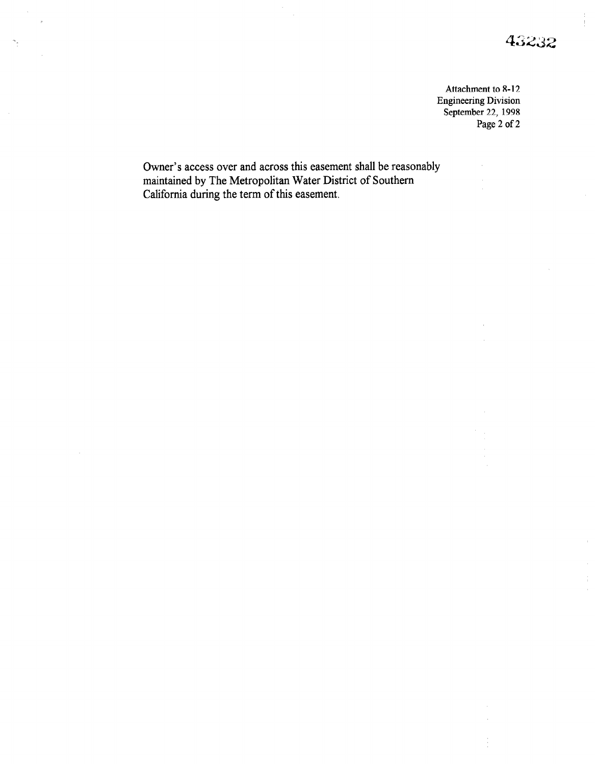$\bar{1}$ 

 $\frac{1}{3}$  $\hat{\boldsymbol{\theta}}$ 

Attachment to 8-12 Engineering Division September 22, 1998 Page 2 of 2

 $\hat{\boldsymbol{\theta}}$ 

Owner's access over and across this easement shall be reasonably maintained by The Metropolitan Water District of Southern California during the term of this easement.

 $\sigma_{\rm g}$ 

 $\mathcal{L}_{\mathcal{A}}$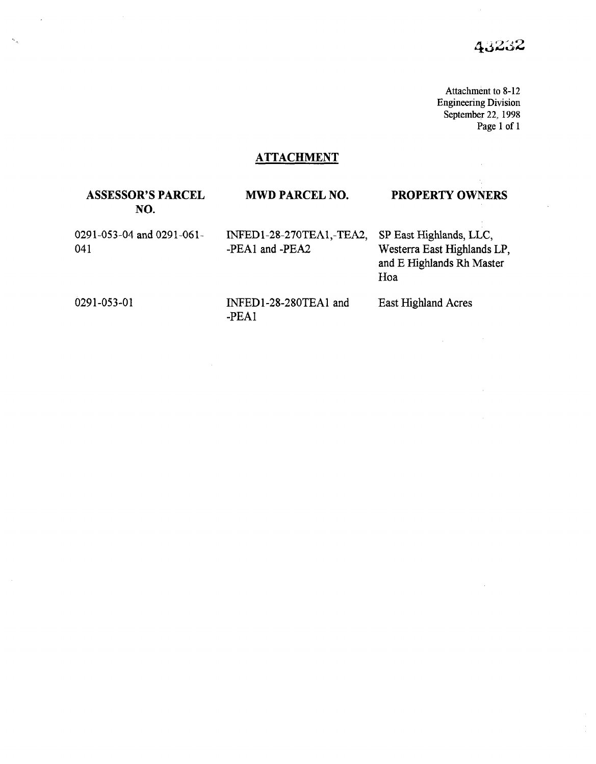$\sim$   $\sim$ 

# **ATTACHMENT**

### ASSESSOR'S PARCEL MWD PARCEL NO. PROPERTY OWNERS NO.

0291-053-04 and 0291-061- 041

INFED1-28-270TEA1,-TEA2, SP East Highlands, LLC, -PEA1 and -PEA2 Westerra East Highlands LP,

and E Highlands Rh Master Hoa

L,

 $\mathbf{a}_{\alpha}$ 

0291-053-01 **INFED1-28-280TEA1** and -PEA1

East Highland Acres

 $\mathcal{L}^{\text{max}}$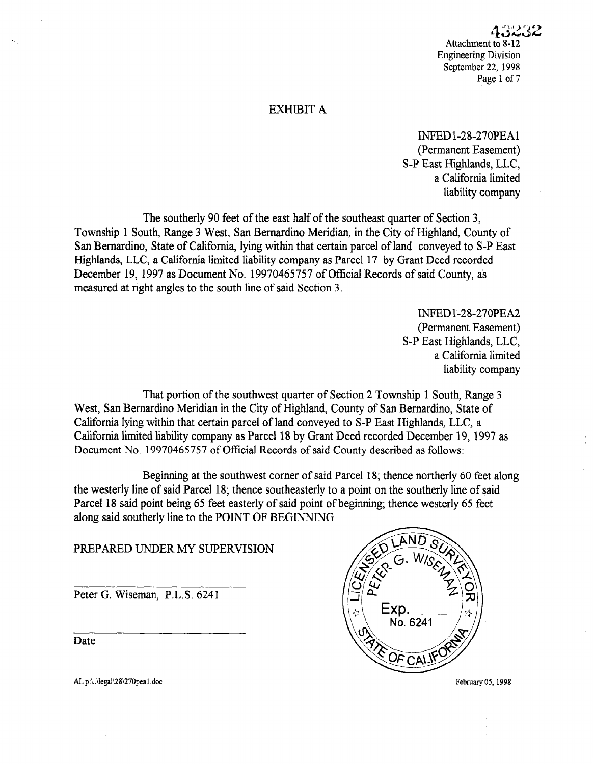### EXHIBIT A

INFEDl-2%270PEAl (Permanent Easement) S-P East Highlands, LLC, a California limited liability company

The southerly 90 feet of the east half of the southeast quarter of Section 3, Township 1 South, Range 3 West, San Bernardino Meridian, in the City of Highland, County of San Bernardino, State of California, lying within that certain parcel of land conveyed to S-P East Highlands, LLC, a California limited liability company as Parcel 17 by Grant Deed recorded December 19, 1997 as Document No. 19970465757 of Official Records of said County, as measured at right angles to the south line of said Section 3.

> INFED l-2%270PEA2 (Permanent Easement) S-P East Highlands, LLC, a California limited liability company

That portion of the southwest quarter of Section 2 Township 1 South, Range 3 West, San Bernardino Meridian in the City of Highland, County of San Bernardino, State of California lying within that certain parcel of land conveyed to S-P East Highlands, LLC, a California lying within that ecrtain parcel of failu conveyed to 5-1. East Fightanus, EEC, a Latiforma inflict habitly company as farcel 16 by Grant Dectric recorded December 1

Beginning at the southwest corner of said Parcel 18; thence northerly 60 feet along the westerly line southwest corner of said Parcel 18; thence normerly of feet and the westerly line of said Parcel 18; thence southeasterly to a point on the southerly line of said Parcel 18 said point being 65 feet easterly of said point of beginning; thence westerly 65 feet along said southerly line to the POINT OF BEGINNING.

Peter G. Wiseman, P.L.S. 6241

<u>date</u> Date



February 05, 1998

AL p:\.\legal\28\270pea1.doc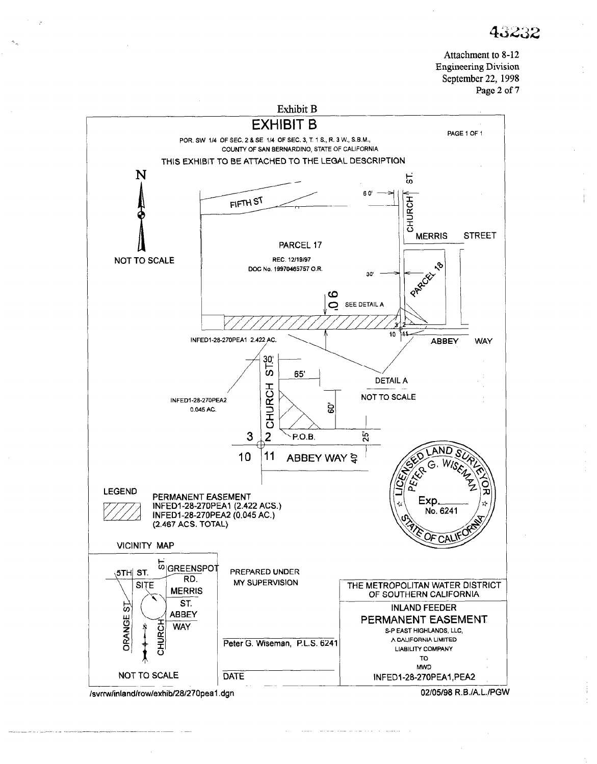

lsvrrwlinlandlrowlexhib/28/270peal .dgn

02/05/98 R.B./A.L.IPGW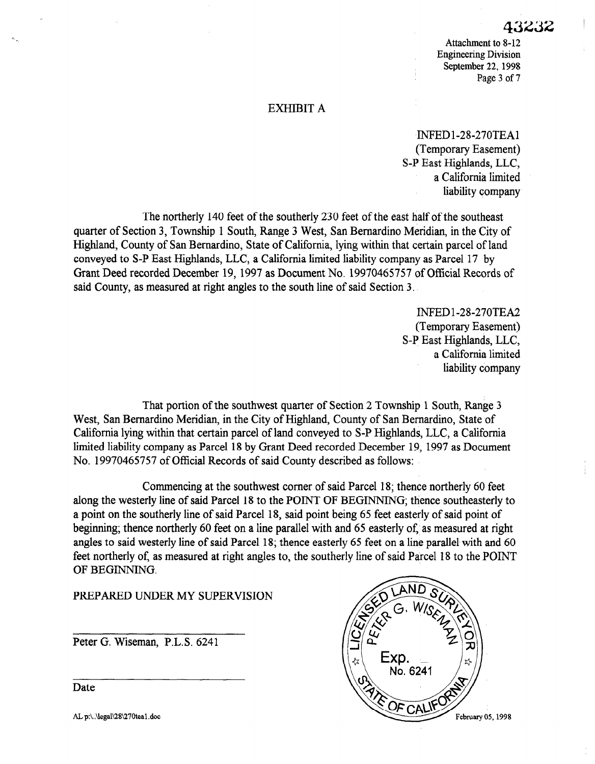# EXHIBIT A

INFEDl-2%270TEAl (Temporary Easement) S-P East Highlands, LLC, a California limited liability company

The northerly 140 feet of the southerly 230 feet of the east half of the southeast quarter of Section 3, Township 1 South, Range 3 West, San Bernardino Meridian, in the City of Highland, County of San Bernardino, State of California, lying within that certain parcel of land conveyed to S-P East Highlands, LLC, a California limited liability company as Parcel 17 by Grant Deed recorded December 19, 1997 as Document No. 19970465757 of Official Records of said County, as measured at right angles to the south line of said Section 3.

> INFED1-28-270TEA2 (Temporary Easement) S-P East Highlands, LLC, a California limited liability company

That portion of the southwest quarter of Section 2 Township 1 South, Range 3 West, San Bernardino Meridian, in the County of Highland, in the County of San Bernardino, State of San Bernardino, State of San Bernardino, State of San Bernardino, State of San Bernardino, State of San Bernardino, State  $C_1$  is a california lying with the certain parameter  $C_1$  and  $C_2$  is  $C_3$  and  $C_3$  and  $C_4$  and  $C_5$  and  $C_6$  and  $C_7$  and  $C_8$  and  $C_9$  and  $C_9$  and  $C_9$  and  $C_9$  and  $C_9$  and  $C_9$  and  $C_9$  and  $C_9$  a California lying within that certain parcel of land conveyed to S-P Highlands, LLC, a California limited liability company as Parcel 18 by Grant Deed recorded December 19, 1997 as Document No. 19970465757 of Official Records of said County described as follows:

Commencing at the southwest corner of said Parcel 18; thence northerly 60 feet commencing at the southwest corner of said Parcel 18, thence northerly bu reet along the westerly line of said Parcel 18 to the POINT OF BEGINNING; thence southeasterly to a point on the southerly line of said Parcel 18, said point being 65 feet easterly of said point of beginning; thence northerly 60 feet on a line parallel with and 65 easterly of, as measured at right angles to said westerly line of said Parcel 18; thence easterly 65 feet on a line parallel with and 60 feet northerly of, as measured at right angles to, the southerly line of said Parcel 18 to the POINT OF BEGINNING.

PREPARED UNDER MY SUPERVISION

Peter G. Wiseman, P.L.S. 6241 Peter G. Wiseman, P.L.S. 6241



 $\overline{\phantom{a}}$ Date

AL p:\.\legal\28\270tea1.doc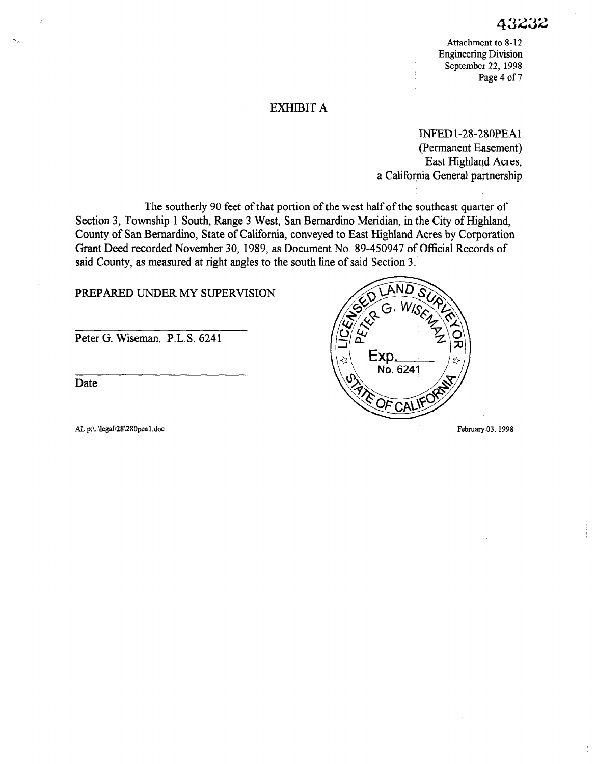### EXHIBIT A

INFED 1-2%280PEAl (Permanent Easement) East Highland Acres, a California General partnership

The southerly 90 feet of that portion of the west half of the southeast quarter of Section 3, Township 1 South, Range 3 West, San Bernardino Meridian, in the City of Highland, County of San Bernardino, State of California, conveyed to East Highland Acres by Corporation Grant Deed recorded November 30, 1989, as Document No. 89-450947 of Official Records of said County, as measured at right angles to the south line of said Section 3.

# PREPARED UNDER MY SUPERVISION

Peter G. Wiseman, P.L.S. 6241

Date

AL p:\..\legal\28\280pea1.doc February 03, 1998

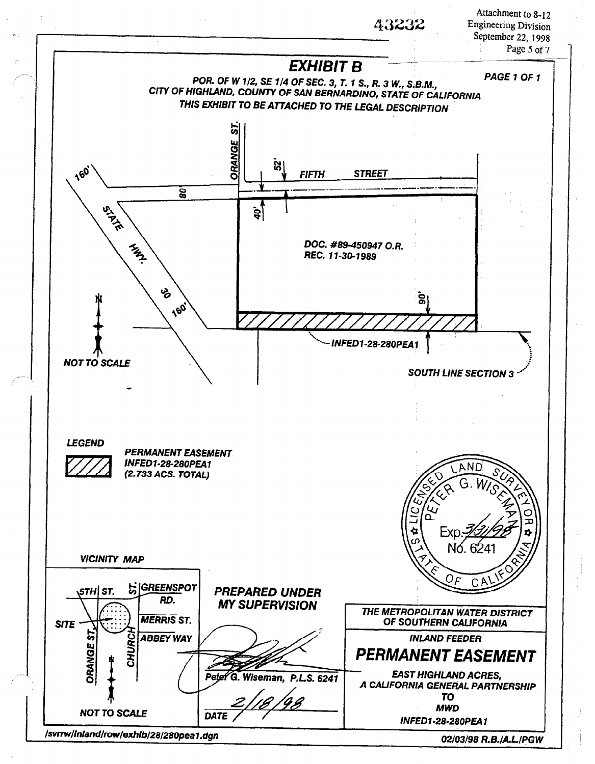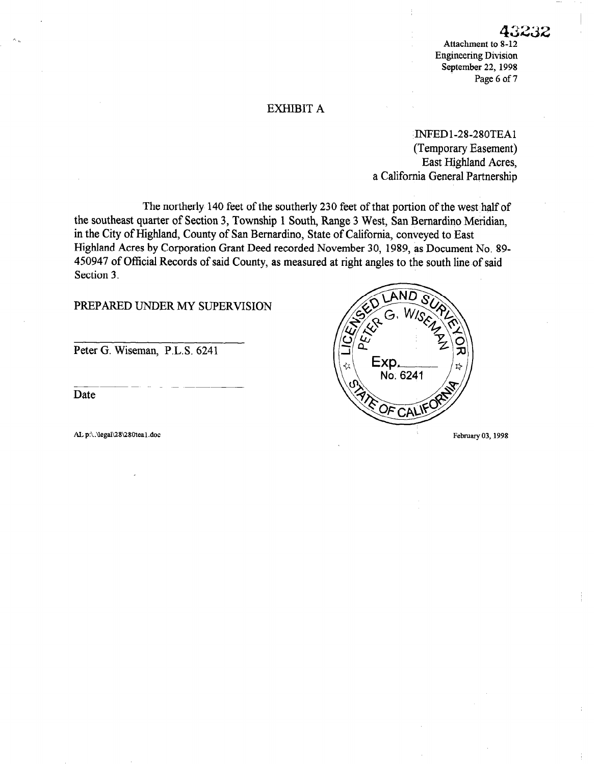# EXHIBIT A

'INFEDl-2%280TEAl (Temporary Easement) East Highland Acres, a California General Partnership

The northerly 140 feet of the southerly 230 feet of that portion of the west half of the southeast quarter of Section 3, Township 1 South, Range 3 West, San Bernardino Meridian, in the City of Highland, County of San Bernardino, State of California, conveyed to East Highland Acres by Corporation Grant Deed recorded November 30, 1989, as Document No. 89- 450947 of Official Records of said County, as measured at right angles to the south line of said Section 3.

### PREPARED UNDER MY SUPERVISION

Peter G. Wiseman, P.L.S. 6241

Date

 $P_{\mathcal{E}}$ Exp. No. 6241 OF CAL AL p:\.\legal\28\280tea1.doc February 03, 1998